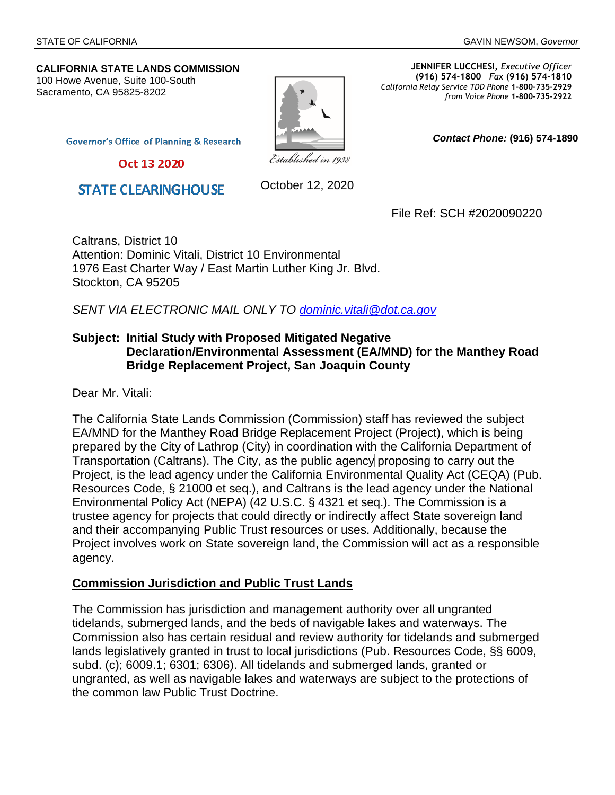*Contact Phone:* **(916) 574-1890** 

#### **CALIFORNIA STATE LANDS COMMISSION** 100 Howe Avenue, Suite 100-South Sacramento, CA 95825-8202



**JENNIFER LUCCHESI,** *Executive Officer* **(916) 574-1800** *Fax* **(916) 574-1810**  *California Relay Service TDD Phone* **1-800-735-2929** *from Voice Phone* **1-800-735-2922** 

**Governor's Office of Planning & Research** 

Oct 13 2020

**STATE CLEARINGHOUSE** 

October 12, 2020

File Ref: SCH #2020090220

Caltrans, District 10 Attention: Dominic Vitali, District 10 Environmental 1976 East Charter Way / East Martin Luther King Jr. Blvd. Stockton, CA 95205

*SENT VIA ELECTRONIC MAIL ONLY TO [dominic.vitali@dot.ca.gov](mailto:dominic.vitali@dot.ca.gov)*

#### **Subject: Initial Study with Proposed Mitigated Negative Declaration/Environmental Assessment (EA/MND) for the Manthey Road Bridge Replacement Project, San Joaquin County**

Dear Mr. Vitali:

The California State Lands Commission (Commission) staff has reviewed the subject EA/MND for the Manthey Road Bridge Replacement Project (Project), which is being prepared by the City of Lathrop (City) in coordination with the California Department of Transportation (Caltrans). The City, as the public agency proposing to carry out the Project, is the lead agency under the California Environmental Quality Act (CEQA) (Pub. Resources Code, § 21000 et seq.), and Caltrans is the lead agency under the National Environmental Policy Act (NEPA) (42 U.S.C. § 4321 et seq.). The Commission is a trustee agency for projects that could directly or indirectly affect State sovereign land and their accompanying Public Trust resources or uses. Additionally, because the Project involves work on State sovereign land, the Commission will act as a responsible agency.

#### **Commission Jurisdiction and Public Trust Lands**

The Commission has jurisdiction and management authority over all ungranted tidelands, submerged lands, and the beds of navigable lakes and waterways. The Commission also has certain residual and review authority for tidelands and submerged lands legislatively granted in trust to local jurisdictions (Pub. Resources Code, §§ 6009, subd. (c); 6009.1; 6301; 6306). All tidelands and submerged lands, granted or ungranted, as well as navigable lakes and waterways are subject to the protections of the common law Public Trust Doctrine.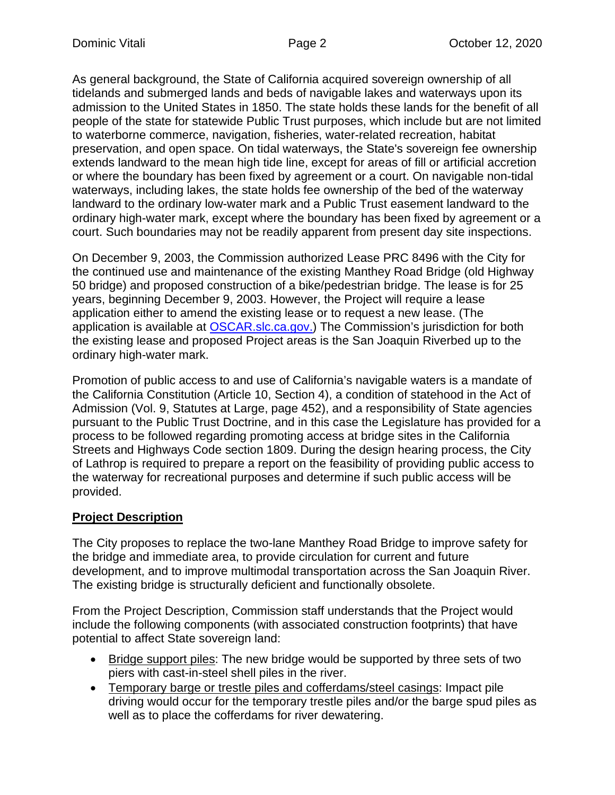As general background, the State of California acquired sovereign ownership of all tidelands and submerged lands and beds of navigable lakes and waterways upon its admission to the United States in 1850. The state holds these lands for the benefit of all people of the state for statewide Public Trust purposes, which include but are not limited to waterborne commerce, navigation, fisheries, water-related recreation, habitat preservation, and open space. On tidal waterways, the State's sovereign fee ownership extends landward to the mean high tide line, except for areas of fill or artificial accretion or where the boundary has been fixed by agreement or a court. On navigable non-tidal waterways, including lakes, the state holds fee ownership of the bed of the waterway landward to the ordinary low-water mark and a Public Trust easement landward to the ordinary high-water mark, except where the boundary has been fixed by agreement or a court. Such boundaries may not be readily apparent from present day site inspections.

On December 9, 2003, the Commission authorized Lease PRC 8496 with the City for the continued use and maintenance of the existing Manthey Road Bridge (old Highway 50 bridge) and proposed construction of a bike/pedestrian bridge. The lease is for 25 years, beginning December 9, 2003. However, the Project will require a lease application either to ame[nd the existing lease](https://oscar.slc.ca.gov/) or to request a new lease. (The application is available at OSCAR.slc.ca.gov.) The Commission's jurisdiction for both the existing lease and proposed Project areas is the San Joaquin Riverbed up to the ordinary high-water mark.

Promotion of public access to and use of California's navigable waters is a mandate of the California Constitution (Article 10, Section 4), a condition of statehood in the Act of Admission (Vol. 9, Statutes at Large, page 452), and a responsibility of State agencies pursuant to the Public Trust Doctrine, and in this case the Legislature has provided for a process to be followed regarding promoting access at bridge sites in the California Streets and Highways Code section 1809. During the design hearing process, the City of Lathrop is required to prepare a report on the feasibility of providing public access to the waterway for recreational purposes and determine if such public access will be provided.

# **Project Description**

The City proposes to replace the two-lane Manthey Road Bridge to improve safety for the bridge and immediate area, to provide circulation for current and future development, and to improve multimodal transportation across the San Joaquin River. The existing bridge is structurally deficient and functionally obsolete.

From the Project Description, Commission staff understands that the Project would include the following components (with associated construction footprints) that have potential to affect State sovereign land:

- Bridge support piles: The new bridge would be supported by three sets of two piers with cast-in-steel shell piles in the river.
- Temporary barge or trestle piles and cofferdams/steel casings: Impact pile driving would occur for the temporary trestle piles and/or the barge spud piles as well as to place the cofferdams for river dewatering.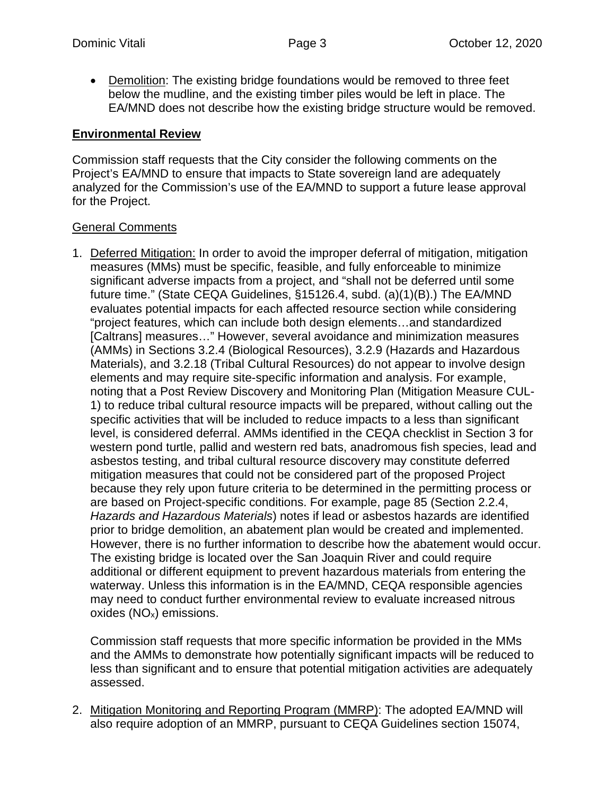Demolition: The existing bridge foundations would be removed to three feet below the mudline, and the existing timber piles would be left in place. The EA/MND does not describe how the existing bridge structure would be removed.

## **Environmental Review**

Commission staff requests that the City consider the following comments on the Project's EA/MND to ensure that impacts to State sovereign land are adequately analyzed for the Commission's use of the EA/MND to support a future lease approval for the Project.

## General Comments

1. Deferred Mitigation: In order to avoid the improper deferral of mitigation, mitigation measures (MMs) must be specific, feasible, and fully enforceable to minimize significant adverse impacts from a project, and "shall not be deferred until some future time." (State CEQA Guidelines, §15126.4, subd. (a)(1)(B).) The EA/MND evaluates potential impacts for each affected resource section while considering "project features, which can include both design elements…and standardized [Caltrans] measures…" However, several avoidance and minimization measures (AMMs) in Sections 3.2.4 (Biological Resources), 3.2.9 (Hazards and Hazardous Materials), and 3.2.18 (Tribal Cultural Resources) do not appear to involve design elements and may require site-specific information and analysis. For example, noting that a Post Review Discovery and Monitoring Plan (Mitigation Measure CUL-1) to reduce tribal cultural resource impacts will be prepared, without calling out the specific activities that will be included to reduce impacts to a less than significant level, is considered deferral. AMMs identified in the CEQA checklist in Section 3 for western pond turtle, pallid and western red bats, anadromous fish species, lead and asbestos testing, and tribal cultural resource discovery may constitute deferred mitigation measures that could not be considered part of the proposed Project because they rely upon future criteria to be determined in the permitting process or are based on Project-specific conditions. For example, page 85 (Section 2.2.4, *Hazards and Hazardous Materials*) notes if lead or asbestos hazards are identified prior to bridge demolition, an abatement plan would be created and implemented. However, there is no further information to describe how the abatement would occur. The existing bridge is located over the San Joaquin River and could require additional or different equipment to prevent hazardous materials from entering the waterway. Unless this information is in the EA/MND, CEQA responsible agencies may need to conduct further environmental review to evaluate increased nitrous oxides (NOx) emissions.

Commission staff requests that more specific information be provided in the MMs and the AMMs to demonstrate how potentially significant impacts will be reduced to less than significant and to ensure that potential mitigation activities are adequately assessed.

2. Mitigation Monitoring and Reporting Program (MMRP): The adopted EA/MND will also require adoption of an MMRP, pursuant to CEQA Guidelines section 15074,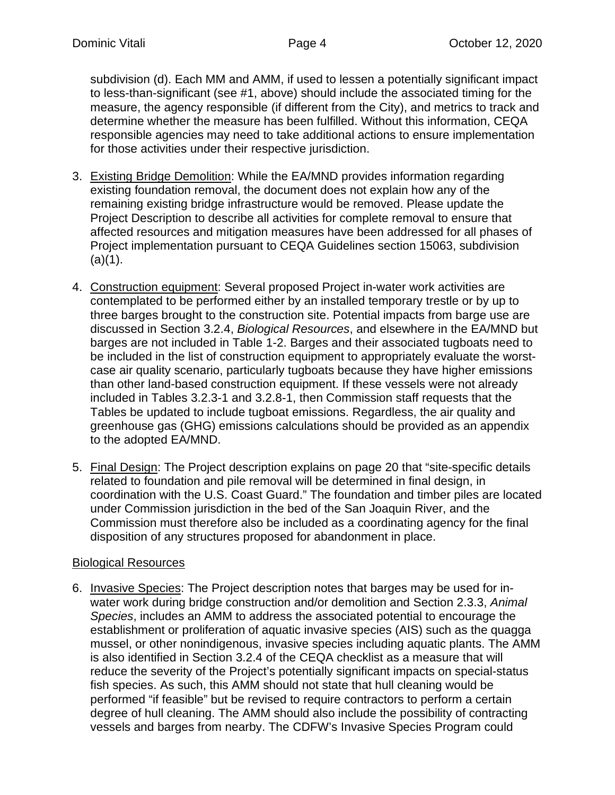subdivision (d). Each MM and AMM, if used to lessen a potentially significant impact to less-than-significant (see #1, above) should include the associated timing for the measure, the agency responsible (if different from the City), and metrics to track and determine whether the measure has been fulfilled. Without this information, CEQA responsible agencies may need to take additional actions to ensure implementation for those activities under their respective jurisdiction.

- 3. Existing Bridge Demolition: While the EA/MND provides information regarding existing foundation removal, the document does not explain how any of the remaining existing bridge infrastructure would be removed. Please update the Project Description to describe all activities for complete removal to ensure that affected resources and mitigation measures have been addressed for all phases of Project implementation pursuant to CEQA Guidelines section 15063, subdivision  $(a)(1)$ .
- 4. Construction equipment: Several proposed Project in-water work activities are contemplated to be performed either by an installed temporary trestle or by up to three barges brought to the construction site. Potential impacts from barge use are discussed in Section 3.2.4, *Biological Resources*, and elsewhere in the EA/MND but barges are not included in Table 1-2. Barges and their associated tugboats need to be included in the list of construction equipment to appropriately evaluate the worstcase air quality scenario, particularly tugboats because they have higher emissions than other land-based construction equipment. If these vessels were not already included in Tables 3.2.3-1 and 3.2.8-1, then Commission staff requests that the Tables be updated to include tugboat emissions. Regardless, the air quality and greenhouse gas (GHG) emissions calculations should be provided as an appendix to the adopted EA/MND.
- 5. Final Design: The Project description explains on page 20 that "site-specific details related to foundation and pile removal will be determined in final design, in coordination with the U.S. Coast Guard." The foundation and timber piles are located under Commission jurisdiction in the bed of the San Joaquin River, and the Commission must therefore also be included as a coordinating agency for the final disposition of any structures proposed for abandonment in place.

# Biological Resources

6. Invasive Species: The Project description notes that barges may be used for inwater work during bridge construction and/or demolition and Section 2.3.3, *Animal Species*, includes an AMM to address the associated potential to encourage the establishment or proliferation of aquatic invasive species (AIS) such as the quagga mussel, or other nonindigenous, invasive species including aquatic plants. The AMM is also identified in Section 3.2.4 of the CEQA checklist as a measure that will reduce the severity of the Project's potentially significant impacts on special-status fish species. As such, this AMM should not state that hull cleaning would be performed "if feasible" but be revised to require contractors to perform a certain degree of hull cleaning. The AMM should also include the possibility of contracting vessels and barges from nearby. The CDFW's Invasive Species Program could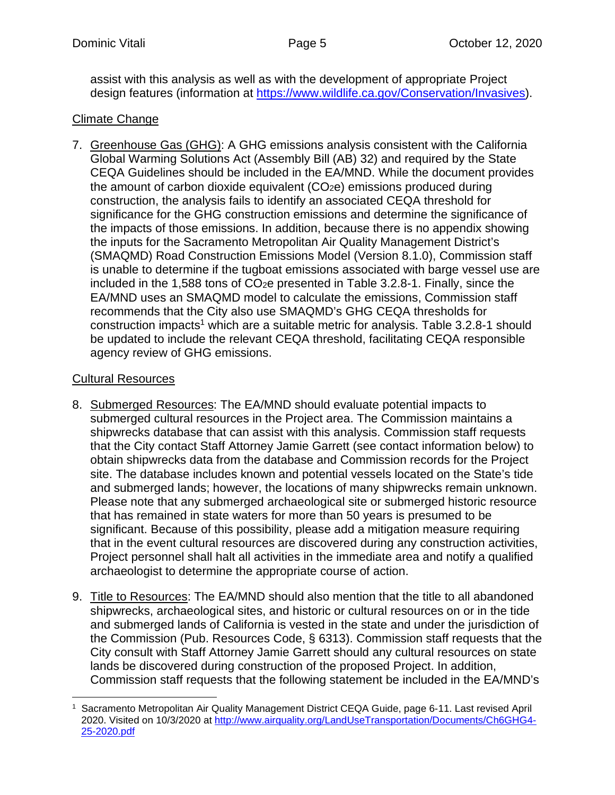assist with this analysis as well as with the development of appropriate Project design features (information at https://www.wildlife.ca.gov/Conservation/Invasives).

# Climate Change

7. Greenhouse Gas (GHG): A GHG emissions analysis consistent with the California Global Warming Solutions Act (Assembly Bill (AB) 32) and required by the State CEQA Guidelines should be included in the EA/MND. While the document provides the amount of carbon dioxide equivalent  $(CO<sub>2</sub>e)$  emissions produced during construction, the analysis fails to identify an associated CEQA threshold for significance for the GHG construction emissions and determine the significance of the impacts of those emissions. In addition, because there is no appendix showing the inputs for the Sacramento Metropolitan Air Quality Management District's (SMAQMD) Road Construction Emissions Model (Version 8.1.0), Commission staff is unable to determine if the tugboat emissions associated with barge vessel use are included in the 1,588 tons of  $CO<sub>2</sub>e$  presented in Table 3.2.8-1. Finally, since the EA/MND uses an SMAQMD model to calculate the emissions, Commission staff recommends that th[e](#page-4-0) City also use SMAQMD's GHG CEQA thresholds for construction impacts<sup>1</sup> which are a suitable metric for analysis. Table 3.2.8-1 should be updated to include the relevant CEQA threshold, facilitating CEQA responsible agency review of GHG emissions.

## Cultural Resources

- 8. Submerged Resources: The EA/MND should evaluate potential impacts to submerged cultural resources in the Project area. The Commission maintains a shipwrecks database that can assist with this analysis. Commission staff requests that the City contact Staff Attorney Jamie Garrett (see contact information below) to obtain shipwrecks data from the database and Commission records for the Project site. The database includes known and potential vessels located on the State's tide and submerged lands; however, the locations of many shipwrecks remain unknown. Please note that any submerged archaeological site or submerged historic resource that has remained in state waters for more than 50 years is presumed to be significant. Because of this possibility, please add a mitigation measure requiring that in the event cultural resources are discovered during any construction activities, Project personnel shall halt all activities in the immediate area and notify a qualified archaeologist to determine the appropriate course of action.
- 9. Title to Resources: The EA/MND should also mention that the title to all abandoned shipwrecks, archaeological sites, and historic or cultural resources on or in the tide and submerged lands of California is vested in the state and under the jurisdiction of the Commission (Pub. Resources Code, § 6313). Commission staff requests that the City consult with Staff Attorney Jamie Garrett should any cultural resources on state lands be discovered during construction of the proposed Project. In addition, Commission staff requests that the following statement be included in the EA/MND's

<span id="page-4-0"></span><sup>1</sup> Sacramento Metropolitan Air Quality Management District CEQA Guide, page 6-11. Last revised April 2020. Visited on 10/3/2020 at http://www.airquality.org/LandUseTransportation/Documents/Ch6GHG4- 25-2020.pdf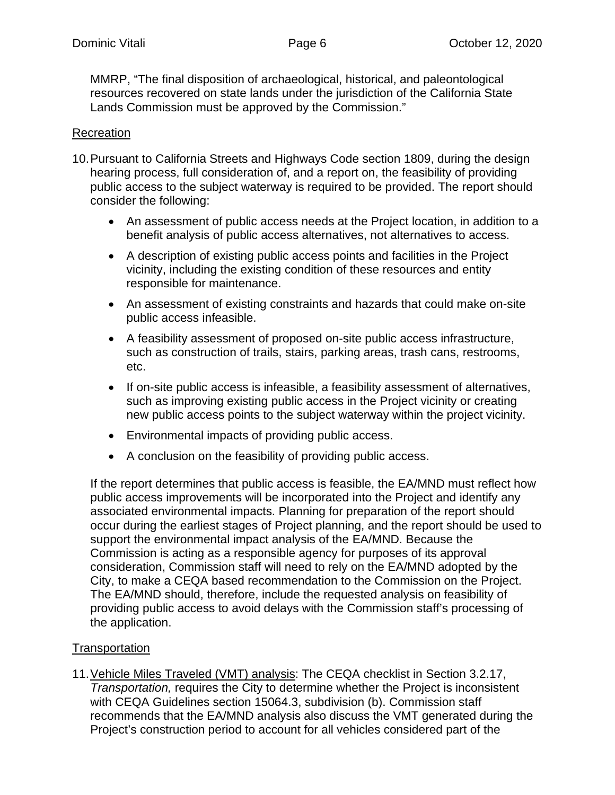MMRP, "The final disposition of archaeological, historical, and paleontological resources recovered on state lands under the jurisdiction of the California State Lands Commission must be approved by the Commission."

## Recreation

- 10. Pursuant to California Streets and Highways Code section 1809, during the design hearing process, full consideration of, and a report on, the feasibility of providing public access to the subject waterway is required to be provided. The report should consider the following:
	- An assessment of public access needs at the Project location, in addition to a benefit analysis of public access alternatives, not alternatives to access.
	- A description of existing public access points and facilities in the Project vicinity, including the existing condition of these resources and entity responsible for maintenance.
	- An assessment of existing constraints and hazards that could make on-site public access infeasible.
	- A feasibility assessment of proposed on-site public access infrastructure, such as construction of trails, stairs, parking areas, trash cans, restrooms, etc.
	- If on-site public access is infeasible, a feasibility assessment of alternatives, such as improving existing public access in the Project vicinity or creating new public access points to the subject waterway within the project vicinity.
	- Environmental impacts of providing public access.
	- A conclusion on the feasibility of providing public access.

If the report determines that public access is feasible, the EA/MND must reflect how public access improvements will be incorporated into the Project and identify any associated environmental impacts. Planning for preparation of the report should occur during the earliest stages of Project planning, and the report should be used to support the environmental impact analysis of the EA/MND. Because the Commission is acting as a responsible agency for purposes of its approval consideration, Commission staff will need to rely on the EA/MND adopted by the City, to make a CEQA based recommendation to the Commission on the Project. The EA/MND should, therefore, include the requested analysis on feasibility of providing public access to avoid delays with the Commission staff's processing of the application.

# Transportation

11. Vehicle Miles Traveled (VMT) analysis: The CEQA checklist in Section 3.2.17, *Transportation,* requires the City to determine whether the Project is inconsistent with CEQA Guidelines section 15064.3, subdivision (b). Commission staff recommends that the EA/MND analysis also discuss the VMT generated during the Project's construction period to account for all vehicles considered part of the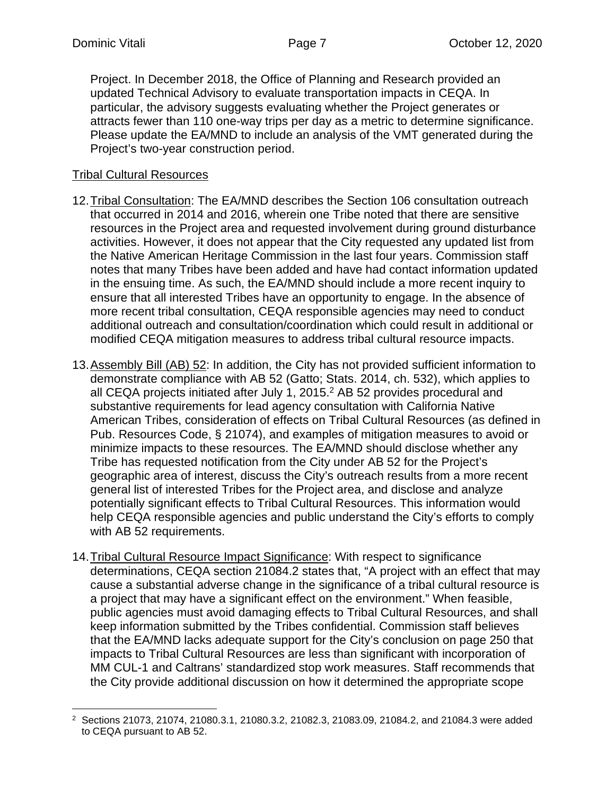Project. In December 2018, the Office of Planning and Research provided an updated Technical Advisory to evaluate transportation impacts in CEQA. In particular, the advisory suggests evaluating whether the Project generates or attracts fewer than 110 one-way trips per day as a metric to determine significance. Please update the EA/MND to include an analysis of the VMT generated during the Project's two-year construction period.

# Tribal Cultural Resources

- 12. Tribal Consultation: The EA/MND describes the Section 106 consultation outreach that occurred in 2014 and 2016, wherein one Tribe noted that there are sensitive resources in the Project area and requested involvement during ground disturbance activities. However, it does not appear that the City requested any updated list from the Native American Heritage Commission in the last four years. Commission staff notes that many Tribes have been added and have had contact information updated in the ensuing time. As such, the EA/MND should include a more recent inquiry to ensure that all interested Tribes have an opportunity to engage. In the absence of more recent tribal consultation, CEQA responsible agencies may need to conduct additional outreach and consultation/coordination which could result in additional or modified CEQA mitigation measures to address tribal cultural resource impacts.
- 13. Assembly Bill (AB) 52: In addition, the City has not provided sufficient information to demonstrate compliance with AB 52 (Gatto; [St](#page-6-0)ats. 2014, ch. 532), which applies to all CEQA projects initiated after July 1, 2015.<sup>2</sup> AB 52 provides procedural and substantive requirements for lead agency consultation with California Native American Tribes, consideration of effects on Tribal Cultural Resources (as defined in Pub. Resources Code, § 21074), and examples of mitigation measures to avoid or minimize impacts to these resources. The EA/MND should disclose whether any Tribe has requested notification from the City under AB 52 for the Project's geographic area of interest, discuss the City's outreach results from a more recent general list of interested Tribes for the Project area, and disclose and analyze potentially significant effects to Tribal Cultural Resources. This information would help CEQA responsible agencies and public understand the City's efforts to comply with AB 52 requirements.
- 14. Tribal Cultural Resource Impact Significance: With respect to significance determinations, CEQA section 21084.2 states that, "A project with an effect that may cause a substantial adverse change in the significance of a tribal cultural resource is a project that may have a significant effect on the environment." When feasible, public agencies must avoid damaging effects to Tribal Cultural Resources, and shall keep information submitted by the Tribes confidential. Commission staff believes that the EA/MND lacks adequate support for the City's conclusion on page 250 that impacts to Tribal Cultural Resources are less than significant with incorporation of MM CUL-1 and Caltrans' standardized stop work measures. Staff recommends that the City provide additional discussion on how it determined the appropriate scope

<span id="page-6-0"></span><sup>2</sup> Sections 21073, 21074, 21080.3.1, 21080.3.2, 21082.3, 21083.09, 21084.2, and 21084.3 were added to CEQA pursuant to AB 52.